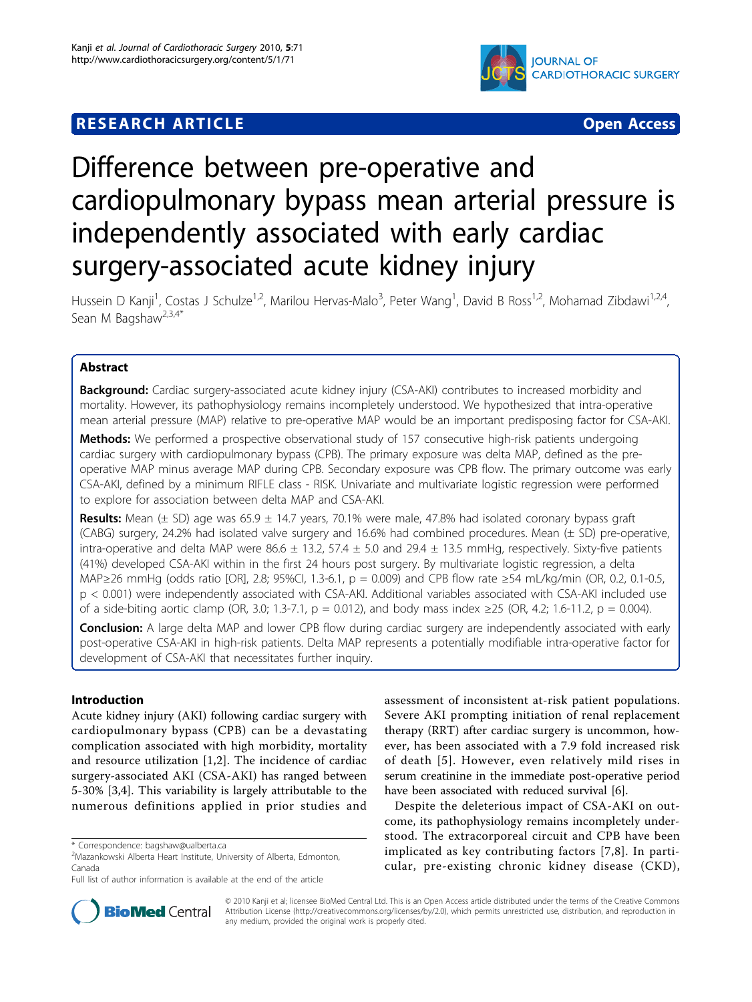# **RESEARCH ARTICLE Example 2018 12:00 Department of the Contract Open Access**



# Difference between pre-operative and cardiopulmonary bypass mean arterial pressure is independently associated with early cardiac surgery-associated acute kidney injury

Hussein D Kanji<sup>1</sup>, Costas J Schulze<sup>1,2</sup>, Marilou Hervas-Malo<sup>3</sup>, Peter Wang<sup>1</sup>, David B Ross<sup>1,2</sup>, Mohamad Zibdawi<sup>1,2,4</sup>, Sean M Bagshaw<sup>2,3,4\*</sup>

# Abstract

**Background:** Cardiac surgery-associated acute kidney injury (CSA-AKI) contributes to increased morbidity and mortality. However, its pathophysiology remains incompletely understood. We hypothesized that intra-operative mean arterial pressure (MAP) relative to pre-operative MAP would be an important predisposing factor for CSA-AKI.

Methods: We performed a prospective observational study of 157 consecutive high-risk patients undergoing cardiac surgery with cardiopulmonary bypass (CPB). The primary exposure was delta MAP, defined as the preoperative MAP minus average MAP during CPB. Secondary exposure was CPB flow. The primary outcome was early CSA-AKI, defined by a minimum RIFLE class - RISK. Univariate and multivariate logistic regression were performed to explore for association between delta MAP and CSA-AKI.

**Results:** Mean ( $\pm$  SD) age was  $65.9 \pm 14.7$  years, 70.1% were male, 47.8% had isolated coronary bypass graft (CABG) surgery, 24.2% had isolated valve surgery and 16.6% had combined procedures. Mean (± SD) pre-operative, intra-operative and delta MAP were  $86.6 \pm 13.2$ ,  $57.4 \pm 5.0$  and  $29.4 \pm 13.5$  mmHg, respectively. Sixty-five patients (41%) developed CSA-AKI within in the first 24 hours post surgery. By multivariate logistic regression, a delta MAP≥26 mmHg (odds ratio [OR], 2.8; 95%CI, 1.3-6.1, p = 0.009) and CPB flow rate ≥54 mL/kg/min (OR, 0.2, 0.1-0.5, p < 0.001) were independently associated with CSA-AKI. Additional variables associated with CSA-AKI included use of a side-biting aortic clamp (OR, 3.0; 1.3-7.1,  $p = 0.012$ ), and body mass index ≥25 (OR, 4.2; 1.6-11.2,  $p = 0.004$ ).

**Conclusion:** A large delta MAP and lower CPB flow during cardiac surgery are independently associated with early post-operative CSA-AKI in high-risk patients. Delta MAP represents a potentially modifiable intra-operative factor for development of CSA-AKI that necessitates further inquiry.

# Introduction

Acute kidney injury (AKI) following cardiac surgery with cardiopulmonary bypass (CPB) can be a devastating complication associated with high morbidity, mortality and resource utilization [[1,2\]](#page-7-0). The incidence of cardiac surgery-associated AKI (CSA-AKI) has ranged between 5-30% [[3,4\]](#page-7-0). This variability is largely attributable to the numerous definitions applied in prior studies and

assessment of inconsistent at-risk patient populations. Severe AKI prompting initiation of renal replacement therapy (RRT) after cardiac surgery is uncommon, however, has been associated with a 7.9 fold increased risk of death [[5](#page-7-0)]. However, even relatively mild rises in serum creatinine in the immediate post-operative period have been associated with reduced survival [\[6](#page-7-0)].

Despite the deleterious impact of CSA-AKI on outcome, its pathophysiology remains incompletely understood. The extracorporeal circuit and CPB have been implicated as key contributing factors [[7](#page-7-0),[8\]](#page-7-0). In particular, pre-existing chronic kidney disease (CKD),



© 2010 Kanji et al; licensee BioMed Central Ltd. This is an Open Access article distributed under the terms of the Creative Commons Attribution License [\(http://creativecommons.org/licenses/by/2.0](http://creativecommons.org/licenses/by/2.0)), which permits unrestricted use, distribution, and reproduction in any medium, provided the original work is properly cited.

<sup>\*</sup> Correspondence: [bagshaw@ualberta.ca](mailto:bagshaw@ualberta.ca)

<sup>2</sup> Mazankowski Alberta Heart Institute, University of Alberta, Edmonton, Canada

Full list of author information is available at the end of the article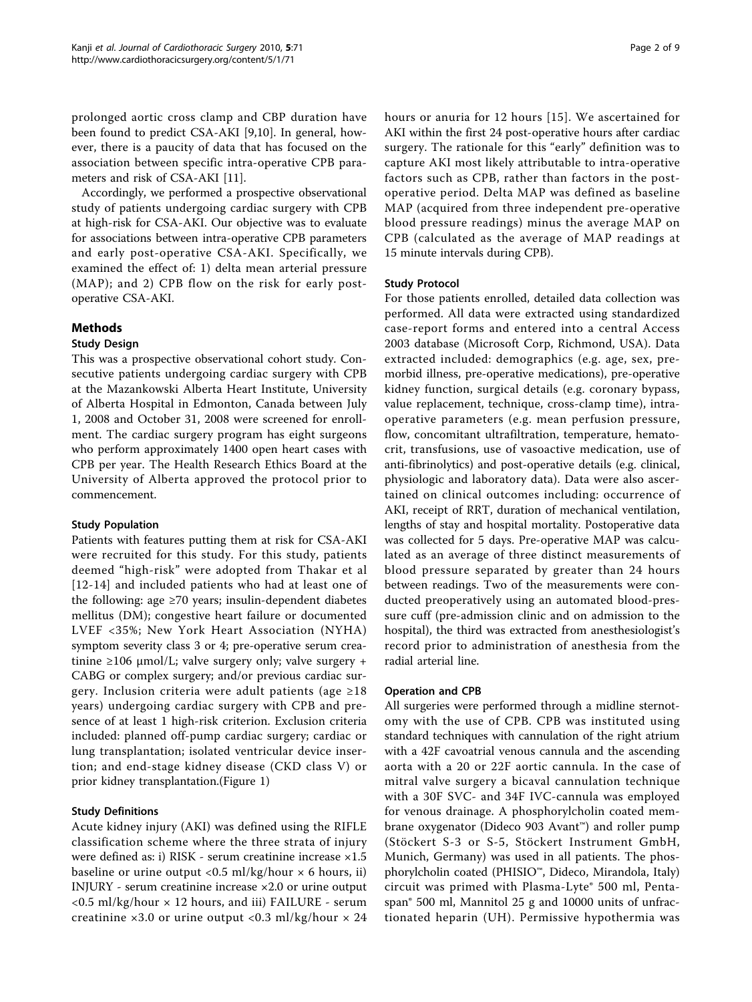prolonged aortic cross clamp and CBP duration have been found to predict CSA-AKI [\[9](#page-7-0),[10\]](#page-7-0). In general, however, there is a paucity of data that has focused on the association between specific intra-operative CPB parameters and risk of CSA-AKI [\[11\]](#page-7-0).

Accordingly, we performed a prospective observational study of patients undergoing cardiac surgery with CPB at high-risk for CSA-AKI. Our objective was to evaluate for associations between intra-operative CPB parameters and early post-operative CSA-AKI. Specifically, we examined the effect of: 1) delta mean arterial pressure (MAP); and 2) CPB flow on the risk for early postoperative CSA-AKI.

# Methods

# Study Design

This was a prospective observational cohort study. Consecutive patients undergoing cardiac surgery with CPB at the Mazankowski Alberta Heart Institute, University of Alberta Hospital in Edmonton, Canada between July 1, 2008 and October 31, 2008 were screened for enrollment. The cardiac surgery program has eight surgeons who perform approximately 1400 open heart cases with CPB per year. The Health Research Ethics Board at the University of Alberta approved the protocol prior to commencement.

# Study Population

Patients with features putting them at risk for CSA-AKI were recruited for this study. For this study, patients deemed "high-risk" were adopted from Thakar et al [[12](#page-7-0)-[14](#page-7-0)] and included patients who had at least one of the following: age  $\geq 70$  years; insulin-dependent diabetes mellitus (DM); congestive heart failure or documented LVEF <35%; New York Heart Association (NYHA) symptom severity class 3 or 4; pre-operative serum creatinine ≥106  $\mu$ mol/L; valve surgery only; valve surgery + CABG or complex surgery; and/or previous cardiac surgery. Inclusion criteria were adult patients (age ≥18 years) undergoing cardiac surgery with CPB and presence of at least 1 high-risk criterion. Exclusion criteria included: planned off-pump cardiac surgery; cardiac or lung transplantation; isolated ventricular device insertion; and end-stage kidney disease (CKD class V) or prior kidney transplantation.(Figure [1\)](#page-2-0)

# Study Definitions

Acute kidney injury (AKI) was defined using the RIFLE classification scheme where the three strata of injury were defined as: i) RISK - serum creatinine increase ×1.5 baseline or urine output <0.5 ml/kg/hour  $\times$  6 hours, ii) INJURY - serum creatinine increase ×2.0 or urine output  $<$  0.5 ml/kg/hour  $\times$  12 hours, and iii) FAILURE - serum creatinine  $\times 3.0$  or urine output <0.3 ml/kg/hour  $\times 24$  hours or anuria for 12 hours [\[15\]](#page-7-0). We ascertained for AKI within the first 24 post-operative hours after cardiac surgery. The rationale for this "early" definition was to capture AKI most likely attributable to intra-operative factors such as CPB, rather than factors in the postoperative period. Delta MAP was defined as baseline MAP (acquired from three independent pre-operative blood pressure readings) minus the average MAP on CPB (calculated as the average of MAP readings at 15 minute intervals during CPB).

# Study Protocol

For those patients enrolled, detailed data collection was performed. All data were extracted using standardized case-report forms and entered into a central Access 2003 database (Microsoft Corp, Richmond, USA). Data extracted included: demographics (e.g. age, sex, premorbid illness, pre-operative medications), pre-operative kidney function, surgical details (e.g. coronary bypass, value replacement, technique, cross-clamp time), intraoperative parameters (e.g. mean perfusion pressure, flow, concomitant ultrafiltration, temperature, hematocrit, transfusions, use of vasoactive medication, use of anti-fibrinolytics) and post-operative details (e.g. clinical, physiologic and laboratory data). Data were also ascertained on clinical outcomes including: occurrence of AKI, receipt of RRT, duration of mechanical ventilation, lengths of stay and hospital mortality. Postoperative data was collected for 5 days. Pre-operative MAP was calculated as an average of three distinct measurements of blood pressure separated by greater than 24 hours between readings. Two of the measurements were conducted preoperatively using an automated blood-pressure cuff (pre-admission clinic and on admission to the hospital), the third was extracted from anesthesiologist's record prior to administration of anesthesia from the radial arterial line.

# Operation and CPB

All surgeries were performed through a midline sternotomy with the use of CPB. CPB was instituted using standard techniques with cannulation of the right atrium with a 42F cavoatrial venous cannula and the ascending aorta with a 20 or 22F aortic cannula. In the case of mitral valve surgery a bicaval cannulation technique with a 30F SVC- and 34F IVC-cannula was employed for venous drainage. A phosphorylcholin coated membrane oxygenator (Dideco 903 Avant™) and roller pump (Stöckert S-3 or S-5, Stöckert Instrument GmbH, Munich, Germany) was used in all patients. The phosphorylcholin coated (PHISIO™, Dideco, Mirandola, Italy) circuit was primed with Plasma-Lyte® 500 ml, Pentaspan® 500 ml, Mannitol 25 g and 10000 units of unfractionated heparin (UH). Permissive hypothermia was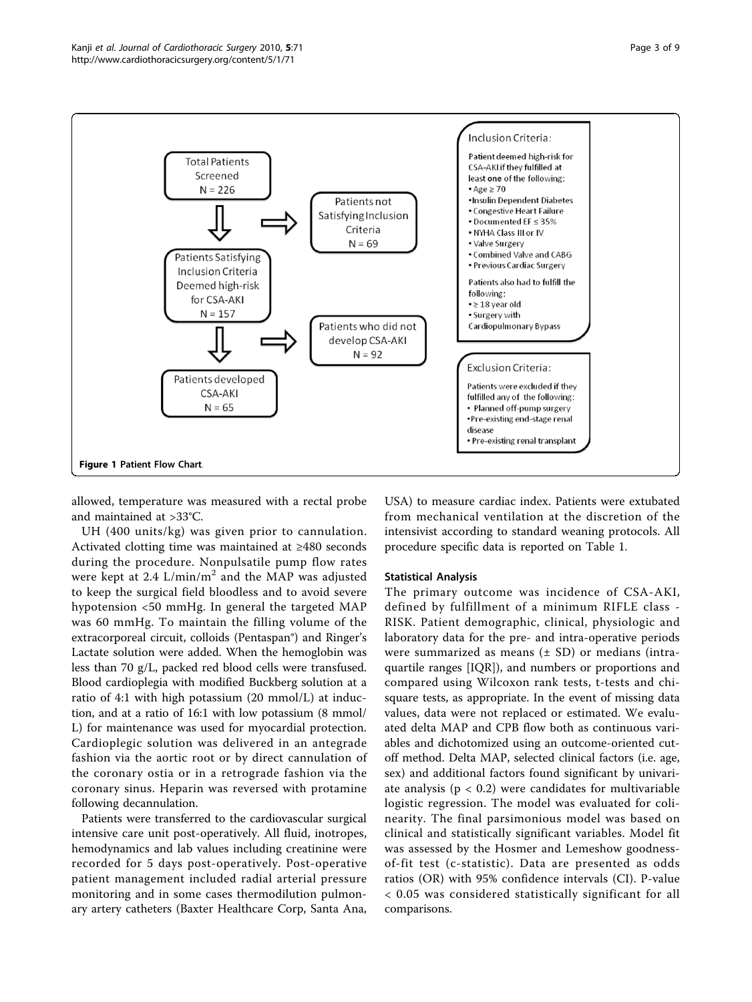<span id="page-2-0"></span>

allowed, temperature was measured with a rectal probe and maintained at >33°C.

UH (400 units/kg) was given prior to cannulation. Activated clotting time was maintained at ≥480 seconds during the procedure. Nonpulsatile pump flow rates were kept at 2.4  $L/min/m^2$  and the MAP was adjusted to keep the surgical field bloodless and to avoid severe hypotension <50 mmHg. In general the targeted MAP was 60 mmHg. To maintain the filling volume of the extracorporeal circuit, colloids (Pentaspan®) and Ringer's Lactate solution were added. When the hemoglobin was less than 70 g/L, packed red blood cells were transfused. Blood cardioplegia with modified Buckberg solution at a ratio of 4:1 with high potassium (20 mmol/L) at induction, and at a ratio of 16:1 with low potassium (8 mmol/ L) for maintenance was used for myocardial protection. Cardioplegic solution was delivered in an antegrade fashion via the aortic root or by direct cannulation of the coronary ostia or in a retrograde fashion via the coronary sinus. Heparin was reversed with protamine following decannulation.

Patients were transferred to the cardiovascular surgical intensive care unit post-operatively. All fluid, inotropes, hemodynamics and lab values including creatinine were recorded for 5 days post-operatively. Post-operative patient management included radial arterial pressure monitoring and in some cases thermodilution pulmonary artery catheters (Baxter Healthcare Corp, Santa Ana, USA) to measure cardiac index. Patients were extubated from mechanical ventilation at the discretion of the intensivist according to standard weaning protocols. All procedure specific data is reported on Table [1.](#page-3-0)

# Statistical Analysis

The primary outcome was incidence of CSA-AKI, defined by fulfillment of a minimum RIFLE class - RISK. Patient demographic, clinical, physiologic and laboratory data for the pre- and intra-operative periods were summarized as means  $(± SD)$  or medians (intraquartile ranges [IQR]), and numbers or proportions and compared using Wilcoxon rank tests, t-tests and chisquare tests, as appropriate. In the event of missing data values, data were not replaced or estimated. We evaluated delta MAP and CPB flow both as continuous variables and dichotomized using an outcome-oriented cutoff method. Delta MAP, selected clinical factors (i.e. age, sex) and additional factors found significant by univariate analysis ( $p < 0.2$ ) were candidates for multivariable logistic regression. The model was evaluated for colinearity. The final parsimonious model was based on clinical and statistically significant variables. Model fit was assessed by the Hosmer and Lemeshow goodnessof-fit test (c-statistic). Data are presented as odds ratios (OR) with 95% confidence intervals (CI). P-value < 0.05 was considered statistically significant for all comparisons.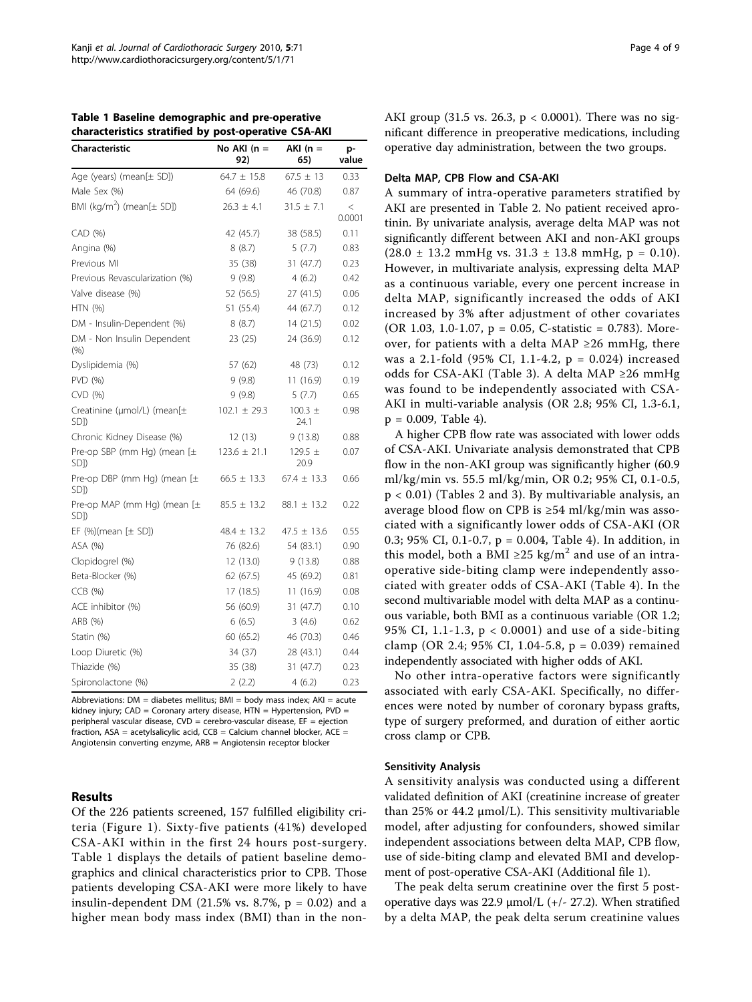<span id="page-3-0"></span>

| Table 1 Baseline demographic and pre-operative       |  |  |
|------------------------------------------------------|--|--|
| characteristics stratified by post-operative CSA-AKI |  |  |

| Characteristic                                 | No AKI $(n =$<br>92) | $AKI(n =$<br>65)    | p-<br>value       |
|------------------------------------------------|----------------------|---------------------|-------------------|
| Age (years) (mean[± SD])                       | $64.7 \pm 15.8$      | $67.5 \pm 13$       | 0.33              |
| Male Sex (%)                                   | 64 (69.6)            | 46 (70.8)           | 0.87              |
| BMI (kg/m <sup>2</sup> ) (mean[ $\pm$ SD])     | $26.3 \pm 4.1$       | $31.5 \pm 7.1$      | $\,<\,$<br>0.0001 |
| CAD (%)                                        | 42 (45.7)            | 38 (58.5)           | 0.11              |
| Angina (%)                                     | 8(8.7)               | 5(7.7)              | 0.83              |
| Previous MI                                    | 35 (38)              | 31 (47.7)           | 0.23              |
| Previous Revascularization (%)                 | 9(9.8)               | 4(6.2)              | 0.42              |
| Valve disease (%)                              | 52 (56.5)            | 27 (41.5)           | 0.06              |
| HTN (%)                                        | 51 (55.4)            | 44 (67.7)           | 0.12              |
| DM - Insulin-Dependent (%)                     | 8(8.7)               | 14 (21.5)           | 0.02              |
| DM - Non Insulin Dependent<br>(% )             | 23 (25)              | 24 (36.9)           | 0.12              |
| Dyslipidemia (%)                               | 57 (62)              | 48 (73)             | 0.12              |
| PVD (%)                                        | 9(9.8)               | 11 (16.9)           | 0.19              |
| CVD (%)                                        | 9(9.8)               | 5(7.7)              | 0.65              |
| Creatinine ( $\mu$ mol/L) (mean[ $\pm$<br>SD]) | $102.1 \pm 29.3$     | $100.3 \pm$<br>24.1 | 0.98              |
| Chronic Kidney Disease (%)                     | 12 (13)              | 9(13.8)             | 0.88              |
| Pre-op SBP (mm Hg) (mean $[\pm]$<br>SD])       | $123.6 \pm 21.1$     | $129.5 \pm$<br>20.9 | 0.07              |
| Pre-op DBP (mm Hg) (mean $[\pm]$<br>SD])       | $66.5 \pm 13.3$      | $67.4 \pm 13.3$     | 0.66              |
| Pre-op MAP (mm Hg) (mean $[\pm]$<br>SD])       | $85.5 \pm 13.2$      | $88.1 \pm 13.2$     | 0.22              |
| EF $(\%)$ (mean [ $\pm$ SD])                   | $48.4 \pm 13.2$      | $47.5 \pm 13.6$     | 0.55              |
| ASA (%)                                        | 76 (82.6)            | 54 (83.1)           | 0.90              |
| Clopidogrel (%)                                | 12 (13.0)            | 9(13.8)             | 0.88              |
| Beta-Blocker (%)                               | 62 (67.5)            | 45 (69.2)           | 0.81              |
| $CCB$ $(\%)$                                   | 17 (18.5)            | 11 (16.9)           | 0.08              |
| ACE inhibitor (%)                              | 56 (60.9)            | 31 (47.7)           | 0.10              |
| ARB (%)                                        | 6(6.5)               | 3(4.6)              | 0.62              |
| Statin (%)                                     | 60 (65.2)            | 46 (70.3)           | 0.46              |
| Loop Diuretic (%)                              | 34 (37)              | 28 (43.1)           | 0.44              |
| Thiazide (%)                                   | 35 (38)              | 31 (47.7)           | 0.23              |
| Spironolactone (%)                             | 2(2.2)               | 4(6.2)              | 0.23              |

Abbreviations: DM = diabetes mellitus; BMI = body mass index; AKI = acute kidney injury;  $CAD = Cononary artery disease, HTN = Hypertension, PVD =$ peripheral vascular disease,  $CVD =$  cerebro-vascular disease,  $EF =$  ejection fraction,  $ASA = acetvlsalicvlic acid$ ,  $CCB = Calcium channel blocker$ ,  $ACE =$ Angiotensin converting enzyme, ARB = Angiotensin receptor blocker

# Results

Of the 226 patients screened, 157 fulfilled eligibility criteria (Figure [1\)](#page-2-0). Sixty-five patients (41%) developed CSA-AKI within in the first 24 hours post-surgery. Table 1 displays the details of patient baseline demographics and clinical characteristics prior to CPB. Those patients developing CSA-AKI were more likely to have insulin-dependent DM (21.5% vs. 8.7%,  $p = 0.02$ ) and a higher mean body mass index (BMI) than in the nonAKI group (31.5 vs. 26.3, p < 0.0001). There was no significant difference in preoperative medications, including operative day administration, between the two groups.

# Delta MAP, CPB Flow and CSA-AKI

A summary of intra-operative parameters stratified by AKI are presented in Table [2](#page-4-0). No patient received aprotinin. By univariate analysis, average delta MAP was not significantly different between AKI and non-AKI groups  $(28.0 \pm 13.2 \text{ mmHg vs. } 31.3 \pm 13.8 \text{ mmHg, p} = 0.10).$ However, in multivariate analysis, expressing delta MAP as a continuous variable, every one percent increase in delta MAP, significantly increased the odds of AKI increased by 3% after adjustment of other covariates (OR 1.03, 1.0-1.07,  $p = 0.05$ , C-statistic = 0.783). Moreover, for patients with a delta MAP  $\geq$ 26 mmHg, there was a 2.1-fold (95% CI, 1.1-4.2, p = 0.024) increased odds for CSA-AKI (Table [3\)](#page-4-0). A delta MAP ≥26 mmHg was found to be independently associated with CSA-AKI in multi-variable analysis (OR 2.8; 95% CI, 1.3-6.1,  $p = 0.009$ , Table [4](#page-5-0)).

A higher CPB flow rate was associated with lower odds of CSA-AKI. Univariate analysis demonstrated that CPB flow in the non-AKI group was significantly higher (60.9 ml/kg/min vs. 55.5 ml/kg/min, OR 0.2; 95% CI, 0.1-0.5, p < 0.01) (Tables [2](#page-4-0) and [3\)](#page-4-0). By multivariable analysis, an average blood flow on CPB is ≥54 ml/kg/min was associated with a significantly lower odds of CSA-AKI (OR 0.3; 95% CI, 0.1-0.7, p = 0.004, Table [4](#page-5-0)). In addition, in this model, both a BMI ≥25 kg/m<sup>2</sup> and use of an intraoperative side-biting clamp were independently associated with greater odds of CSA-AKI (Table [4\)](#page-5-0). In the second multivariable model with delta MAP as a continuous variable, both BMI as a continuous variable (OR 1.2; 95% CI, 1.1-1.3, p < 0.0001) and use of a side-biting clamp (OR 2.4; 95% CI, 1.04-5.8, p = 0.039) remained independently associated with higher odds of AKI.

No other intra-operative factors were significantly associated with early CSA-AKI. Specifically, no differences were noted by number of coronary bypass grafts, type of surgery preformed, and duration of either aortic cross clamp or CPB.

#### Sensitivity Analysis

A sensitivity analysis was conducted using a different validated definition of AKI (creatinine increase of greater than 25% or 44.2 μmol/L). This sensitivity multivariable model, after adjusting for confounders, showed similar independent associations between delta MAP, CPB flow, use of side-biting clamp and elevated BMI and development of post-operative CSA-AKI (Additional file [1](#page-7-0)).

The peak delta serum creatinine over the first 5 postoperative days was 22.9 μmol/L (+/- 27.2). When stratified by a delta MAP, the peak delta serum creatinine values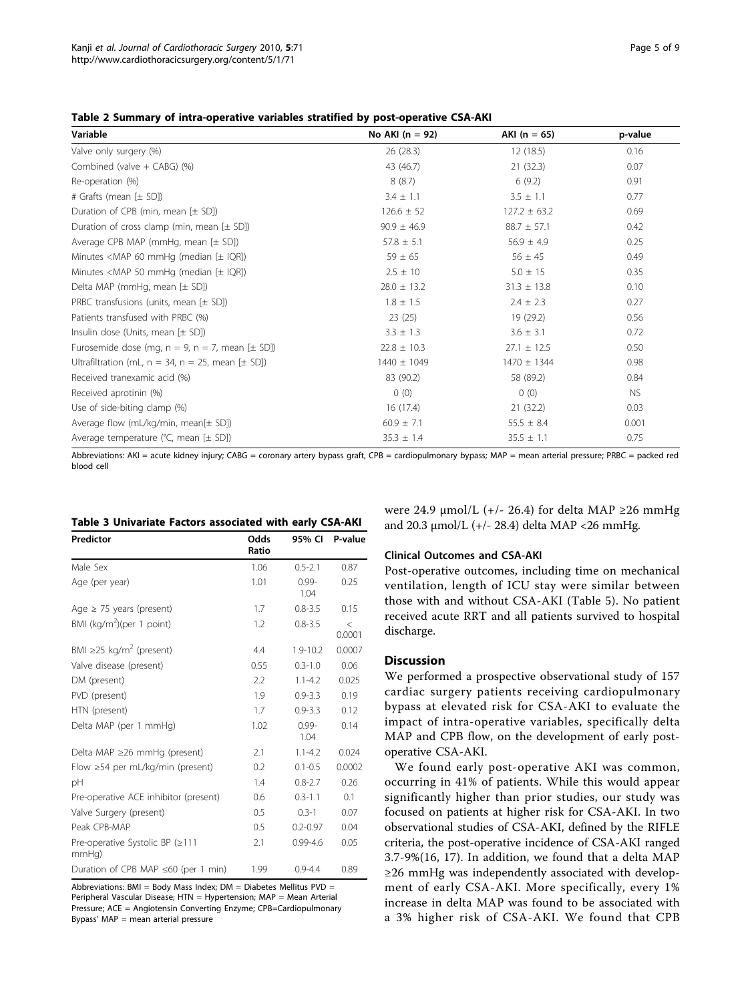<span id="page-4-0"></span>Table 2 Summary of intra-operative variables stratified by post-operative CSA-AKI

| Variable                                                        | No AKI $(n = 92)$ | $AKI(n = 65)$    | p-value   |
|-----------------------------------------------------------------|-------------------|------------------|-----------|
| Valve only surgery (%)                                          | 26(28.3)          | 12(18.5)         | 0.16      |
| Combined (valve + CABG) (%)                                     | 43 (46.7)         | 21(32.3)         | 0.07      |
| Re-operation (%)                                                | 8(8.7)            | 6(9.2)           | 0.91      |
| # Grafts (mean [± SD])                                          | $3.4 \pm 1.1$     | $3.5 \pm 1.1$    | 0.77      |
| Duration of CPB (min, mean [± SD])                              | $126.6 \pm 52$    | $127.2 \pm 63.2$ | 0.69      |
| Duration of cross clamp (min, mean $[\pm SD]$ )                 | $90.9 \pm 46.9$   | $88.7 \pm 57.1$  | 0.42      |
| Average CPB MAP (mmHg, mean $[\pm$ SD])                         | $57.8 \pm 5.1$    | $56.9 \pm 4.9$   | 0.25      |
| Minutes <map (median="" 60="" <math="" mmhg="">[\pm IQR])</map> | $59 \pm 65$       | $56 \pm 45$      | 0.49      |
| Minutes <map (median="" 50="" <math="" mmhg="">[\pm IQR])</map> | $2.5 \pm 10$      | $5.0 \pm 15$     | 0.35      |
| Delta MAP (mmHg, mean $[\pm$ SD])                               | $28.0 \pm 13.2$   | $31.3 \pm 13.8$  | 0.10      |
| PRBC transfusions (units, mean $[\pm SD]$ )                     | $1.8 \pm 1.5$     | $2.4 \pm 2.3$    | 0.27      |
| Patients transfused with PRBC (%)                               | 23(25)            | 19 (29.2)        | 0.56      |
| Insulin dose (Units, mean $[\pm$ SD])                           | $3.3 \pm 1.3$     | $3.6 \pm 3.1$    | 0.72      |
| Furosemide dose (mg, $n = 9$ , $n = 7$ , mean [ $\pm$ SD])      | $22.8 \pm 10.3$   | $27.1 \pm 12.5$  | 0.50      |
| Ultrafiltration (mL, $n = 34$ , $n = 25$ , mean [ $\pm$ SD])    | $1440 \pm 1049$   | $1470 \pm 1344$  | 0.98      |
| Received tranexamic acid (%)                                    | 83 (90.2)         | 58 (89.2)        | 0.84      |
| Received aprotinin (%)                                          | 0(0)              | 0(0)             | <b>NS</b> |
| Use of side-biting clamp (%)                                    | 16 (17.4)         | 21(32.2)         | 0.03      |
| Average flow (mL/kg/min, mean[± SD])                            | $60.9 \pm 7.1$    | $55.5 \pm 8.4$   | 0.001     |
| Average temperature ( $°C$ , mean [ $±$ SD])                    | $35.3 \pm 1.4$    | $35.5 \pm 1.1$   | 0.75      |

Abbreviations: AKI = acute kidney injury; CABG = coronary artery bypass graft, CPB = cardiopulmonary bypass; MAP = mean arterial pressure; PRBC = packed red blood cell

| Table 3 Univariate Factors associated with early CSA-AKI |  |  |  |  |
|----------------------------------------------------------|--|--|--|--|
|----------------------------------------------------------|--|--|--|--|

| Predictor                                   | Odds<br>Ratio | 95% CI           | P-value           |
|---------------------------------------------|---------------|------------------|-------------------|
| Male Sex                                    | 1.06          | $0.5 - 2.1$      | 0.87              |
| Age (per year)                              | 1.01          | $0.99 -$<br>1.04 | 0.25              |
| Age $\geq$ 75 years (present)               | 1.7           | $0.8 - 3.5$      | 0.15              |
| BMI ( $kg/m2$ )(per 1 point)                | 1.2           | $0.8 - 3.5$      | $\,<\,$<br>0.0001 |
| BMI $\geq$ 25 kg/m <sup>2</sup> (present)   | 4.4           | $1.9 - 10.2$     | 0.0007            |
| Valve disease (present)                     | 0.55          | $0.3 - 1.0$      | 0.06              |
| DM (present)                                | 2.2           | $1.1 - 4.2$      | 0.025             |
| PVD (present)                               | 1.9           | $0.9 - 3.3$      | 0.19              |
| HTN (present)                               | 1.7           | $0.9 - 3.3$      | 0.12              |
| Delta MAP (per 1 mmHg)                      | 1.02          | $0.99 -$<br>1.04 | 0.14              |
| Delta MAP $\geq$ 26 mmHg (present)          | 2.1           | $1.1 - 4.2$      | 0.024             |
| Flow ≥54 per mL/kg/min (present)            | 0.2           | $0.1 - 0.5$      | 0.0002            |
| рH                                          | 1.4           | $0.8 - 2.7$      | 0.26              |
| Pre-operative ACE inhibitor (present)       | 0.6           | $0.3 - 1.1$      | 0.1               |
| Valve Surgery (present)                     | 0.5           | $0.3 - 1$        | 0.07              |
| Peak CPB-MAP                                | 0.5           | $0.2 - 0.97$     | 0.04              |
| Pre-operative Systolic BP (≥111<br>$mmHq$ ) | 2.1           | $0.99 - 4.6$     | 0.05              |
| Duration of CPB MAP ≤60 (per 1 min)         | 1.99          | $0.9 - 4.4$      | 0.89              |

Abbreviations:  $BM = Body Mass Index$ ;  $DM = Diabetes Melitus PVD =$ Peripheral Vascular Disease; HTN = Hypertension; MAP = Mean Arterial Pressure; ACE = Angiotensin Converting Enzyme; CPB=Cardiopulmonary Bypass' MAP = mean arterial pressure

were 24.9  $\mu$ mol/L (+/- 26.4) for delta MAP ≥26 mmHg and 20.3 μmol/L (+/- 28.4) delta MAP <26 mmHg.

# Clinical Outcomes and CSA-AKI

Post-operative outcomes, including time on mechanical ventilation, length of ICU stay were similar between those with and without CSA-AKI (Table [5\)](#page-5-0). No patient received acute RRT and all patients survived to hospital discharge.

#### **Discussion**

We performed a prospective observational study of 157 cardiac surgery patients receiving cardiopulmonary bypass at elevated risk for CSA-AKI to evaluate the impact of intra-operative variables, specifically delta MAP and CPB flow, on the development of early postoperative CSA-AKI.

We found early post-operative AKI was common, occurring in 41% of patients. While this would appear significantly higher than prior studies, our study was focused on patients at higher risk for CSA-AKI. In two observational studies of CSA-AKI, defined by the RIFLE criteria, the post-operative incidence of CSA-AKI ranged 3.7-9%(16, 17). In addition, we found that a delta MAP ≥26 mmHg was independently associated with development of early CSA-AKI. More specifically, every 1% increase in delta MAP was found to be associated with a 3% higher risk of CSA-AKI. We found that CPB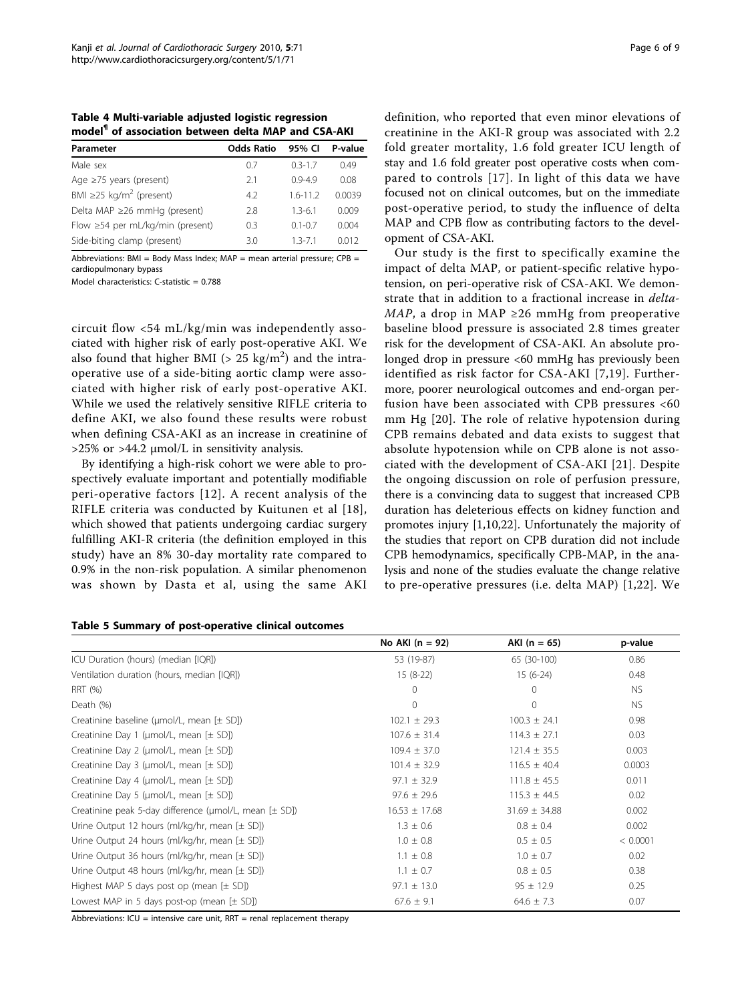<span id="page-5-0"></span>Table 4 Multi-variable adjusted logistic regression model¶ of association between delta MAP and CSA-AKI

| Parameter                                 | <b>Odds Ratio</b> | 95% CI      | P-value |
|-------------------------------------------|-------------------|-------------|---------|
| Male sex                                  | 07                | $0.3 - 1.7$ | 0.49    |
| Age $\geq$ 75 years (present)             | 21                | $09-49$     | 0.08    |
| BMI $\geq$ 25 kg/m <sup>2</sup> (present) | 4.2               | 16-112      | 0.0039  |
| Delta MAP $\geq$ 26 mmHg (present)        | 2.8               | $1.3 - 6.1$ | 0.009   |
| Flow $\geq$ 54 per mL/kg/min (present)    | 0.3               | $0.1 - 0.7$ | 0.004   |
| Side-biting clamp (present)               | 3.0               | $13 - 71$   | 0012    |
|                                           |                   |             |         |

Abbreviations: BMI = Body Mass Index; MAP = mean arterial pressure;  $CPB =$ cardiopulmonary bypass

Model characteristics:  $C$ -statistic = 0.788

circuit flow <54 mL/kg/min was independently associated with higher risk of early post-operative AKI. We also found that higher BMI ( $> 25$  kg/m<sup>2</sup>) and the intraoperative use of a side-biting aortic clamp were associated with higher risk of early post-operative AKI. While we used the relatively sensitive RIFLE criteria to define AKI, we also found these results were robust when defining CSA-AKI as an increase in creatinine of >25% or >44.2 μmol/L in sensitivity analysis.

By identifying a high-risk cohort we were able to prospectively evaluate important and potentially modifiable peri-operative factors [[12](#page-7-0)]. A recent analysis of the RIFLE criteria was conducted by Kuitunen et al [[18\]](#page-7-0), which showed that patients undergoing cardiac surgery fulfilling AKI-R criteria (the definition employed in this study) have an 8% 30-day mortality rate compared to 0.9% in the non-risk population. A similar phenomenon was shown by Dasta et al, using the same AKI

|  |  |  | Table 5 Summary of post-operative clinical outcomes |  |  |
|--|--|--|-----------------------------------------------------|--|--|
|--|--|--|-----------------------------------------------------|--|--|

definition, who reported that even minor elevations of creatinine in the AKI-R group was associated with 2.2 fold greater mortality, 1.6 fold greater ICU length of stay and 1.6 fold greater post operative costs when compared to controls [[17\]](#page-7-0). In light of this data we have focused not on clinical outcomes, but on the immediate post-operative period, to study the influence of delta MAP and CPB flow as contributing factors to the development of CSA-AKI.

Our study is the first to specifically examine the impact of delta MAP, or patient-specific relative hypotension, on peri-operative risk of CSA-AKI. We demonstrate that in addition to a fractional increase in delta-MAP, a drop in MAP  $\geq$ 26 mmHg from preoperative baseline blood pressure is associated 2.8 times greater risk for the development of CSA-AKI. An absolute prolonged drop in pressure <60 mmHg has previously been identified as risk factor for CSA-AKI [[7,19\]](#page-7-0). Furthermore, poorer neurological outcomes and end-organ perfusion have been associated with CPB pressures <60 mm Hg [[20](#page-7-0)]. The role of relative hypotension during CPB remains debated and data exists to suggest that absolute hypotension while on CPB alone is not associated with the development of CSA-AKI [[21](#page-7-0)]. Despite the ongoing discussion on role of perfusion pressure, there is a convincing data to suggest that increased CPB duration has deleterious effects on kidney function and promotes injury [[1,10,22\]](#page-7-0). Unfortunately the majority of the studies that report on CPB duration did not include CPB hemodynamics, specifically CPB-MAP, in the analysis and none of the studies evaluate the change relative to pre-operative pressures (i.e. delta MAP) [[1](#page-7-0),[22\]](#page-7-0). We

|                                                        | No AKI $(n = 92)$ | $AKI(n = 65)$     | p-value   |
|--------------------------------------------------------|-------------------|-------------------|-----------|
| ICU Duration (hours) (median [IQR])                    | 53 (19-87)        | 65 (30-100)       | 0.86      |
| Ventilation duration (hours, median [IQR])             | $15(8-22)$        | $15(6-24)$        | 0.48      |
| <b>RRT (%)</b>                                         | $\mathbf 0$       | $\Omega$          | <b>NS</b> |
| Death (%)                                              | $\circ$           | $\mathbf{0}$      | <b>NS</b> |
| Creatinine baseline ( $\mu$ mol/L, mean [ $\pm$ SD])   | $102.1 \pm 29.3$  | $100.3 \pm 24.1$  | 0.98      |
| Creatinine Day 1 ( $\mu$ mol/L, mean [ $\pm$ SD])      | $107.6 \pm 31.4$  | $114.3 \pm 27.1$  | 0.03      |
| Creatinine Day 2 (µmol/L, mean [± SD])                 | $109.4 \pm 37.0$  | $121.4 \pm 35.5$  | 0.003     |
| Creatinine Day 3 (µmol/L, mean [± SD])                 | $101.4 \pm 32.9$  | $116.5 \pm 40.4$  | 0.0003    |
| Creatinine Day 4 (µmol/L, mean [± SD])                 | $97.1 \pm 32.9$   | $111.8 \pm 45.5$  | 0.011     |
| Creatinine Day 5 (µmol/L, mean [± SD])                 | $97.6 \pm 29.6$   | $115.3 \pm 44.5$  | 0.02      |
| Creatinine peak 5-day difference (µmol/L, mean [± SD]) | $16.53 \pm 17.68$ | $31.69 \pm 34.88$ | 0.002     |
| Urine Output 12 hours (ml/kg/hr, mean $[\pm SD]$ )     | $1.3 \pm 0.6$     | $0.8 \pm 0.4$     | 0.002     |
| Urine Output 24 hours (ml/kg/hr, mean [± SD])          | $1.0 \pm 0.8$     | $0.5 \pm 0.5$     | < 0.0001  |
| Urine Output 36 hours (ml/kg/hr, mean $[\pm SD]$ )     | $1.1 \pm 0.8$     | $1.0 \pm 0.7$     | 0.02      |
| Urine Output 48 hours (ml/kg/hr, mean $[\pm$ SD])      | $1.1 \pm 0.7$     | $0.8 \pm 0.5$     | 0.38      |
| Highest MAP 5 days post op (mean $[\pm$ SD])           | $97.1 \pm 13.0$   | $95 \pm 12.9$     | 0.25      |
| Lowest MAP in 5 days post-op (mean $[\pm$ SD])         | $67.6 \pm 9.1$    | $64.6 \pm 7.3$    | 0.07      |

Abbreviations:  $ICU =$  intensive care unit, RRT = renal replacement therapy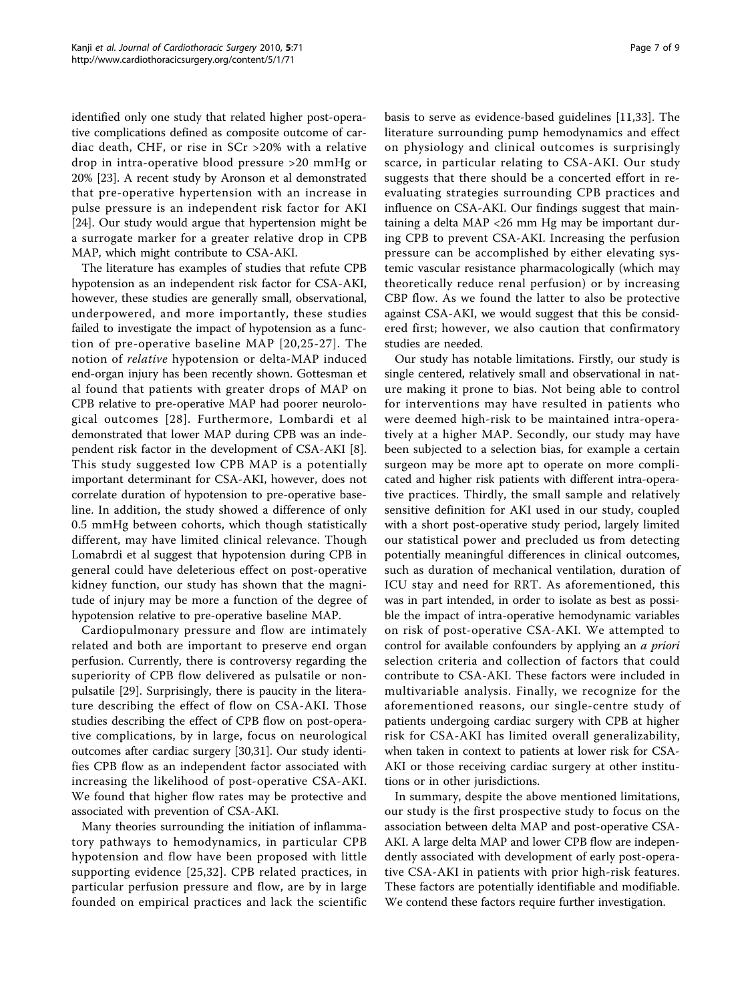identified only one study that related higher post-operative complications defined as composite outcome of cardiac death, CHF, or rise in SCr >20% with a relative drop in intra-operative blood pressure >20 mmHg or 20% [[23\]](#page-7-0). A recent study by Aronson et al demonstrated that pre-operative hypertension with an increase in pulse pressure is an independent risk factor for AKI [[24\]](#page-7-0). Our study would argue that hypertension might be a surrogate marker for a greater relative drop in CPB MAP, which might contribute to CSA-AKI.

The literature has examples of studies that refute CPB hypotension as an independent risk factor for CSA-AKI, however, these studies are generally small, observational, underpowered, and more importantly, these studies failed to investigate the impact of hypotension as a function of pre-operative baseline MAP [[20,25-27\]](#page-7-0). The notion of relative hypotension or delta-MAP induced end-organ injury has been recently shown. Gottesman et al found that patients with greater drops of MAP on CPB relative to pre-operative MAP had poorer neurological outcomes [[28](#page-7-0)]. Furthermore, Lombardi et al demonstrated that lower MAP during CPB was an independent risk factor in the development of CSA-AKI [\[8](#page-7-0)]. This study suggested low CPB MAP is a potentially important determinant for CSA-AKI, however, does not correlate duration of hypotension to pre-operative baseline. In addition, the study showed a difference of only 0.5 mmHg between cohorts, which though statistically different, may have limited clinical relevance. Though Lomabrdi et al suggest that hypotension during CPB in general could have deleterious effect on post-operative kidney function, our study has shown that the magnitude of injury may be more a function of the degree of hypotension relative to pre-operative baseline MAP.

Cardiopulmonary pressure and flow are intimately related and both are important to preserve end organ perfusion. Currently, there is controversy regarding the superiority of CPB flow delivered as pulsatile or nonpulsatile [[29](#page-7-0)]. Surprisingly, there is paucity in the literature describing the effect of flow on CSA-AKI. Those studies describing the effect of CPB flow on post-operative complications, by in large, focus on neurological outcomes after cardiac surgery [[30,](#page-7-0)[31\]](#page-8-0). Our study identifies CPB flow as an independent factor associated with increasing the likelihood of post-operative CSA-AKI. We found that higher flow rates may be protective and associated with prevention of CSA-AKI.

Many theories surrounding the initiation of inflammatory pathways to hemodynamics, in particular CPB hypotension and flow have been proposed with little supporting evidence [[25](#page-7-0),[32\]](#page-8-0). CPB related practices, in particular perfusion pressure and flow, are by in large founded on empirical practices and lack the scientific basis to serve as evidence-based guidelines [[11](#page-7-0)[,33](#page-8-0)]. The literature surrounding pump hemodynamics and effect on physiology and clinical outcomes is surprisingly scarce, in particular relating to CSA-AKI. Our study suggests that there should be a concerted effort in reevaluating strategies surrounding CPB practices and influence on CSA-AKI. Our findings suggest that maintaining a delta MAP <26 mm Hg may be important during CPB to prevent CSA-AKI. Increasing the perfusion pressure can be accomplished by either elevating systemic vascular resistance pharmacologically (which may theoretically reduce renal perfusion) or by increasing CBP flow. As we found the latter to also be protective against CSA-AKI, we would suggest that this be considered first; however, we also caution that confirmatory studies are needed.

Our study has notable limitations. Firstly, our study is single centered, relatively small and observational in nature making it prone to bias. Not being able to control for interventions may have resulted in patients who were deemed high-risk to be maintained intra-operatively at a higher MAP. Secondly, our study may have been subjected to a selection bias, for example a certain surgeon may be more apt to operate on more complicated and higher risk patients with different intra-operative practices. Thirdly, the small sample and relatively sensitive definition for AKI used in our study, coupled with a short post-operative study period, largely limited our statistical power and precluded us from detecting potentially meaningful differences in clinical outcomes, such as duration of mechanical ventilation, duration of ICU stay and need for RRT. As aforementioned, this was in part intended, in order to isolate as best as possible the impact of intra-operative hemodynamic variables on risk of post-operative CSA-AKI. We attempted to control for available confounders by applying an a priori selection criteria and collection of factors that could contribute to CSA-AKI. These factors were included in multivariable analysis. Finally, we recognize for the aforementioned reasons, our single-centre study of patients undergoing cardiac surgery with CPB at higher risk for CSA-AKI has limited overall generalizability, when taken in context to patients at lower risk for CSA-AKI or those receiving cardiac surgery at other institutions or in other jurisdictions.

In summary, despite the above mentioned limitations, our study is the first prospective study to focus on the association between delta MAP and post-operative CSA-AKI. A large delta MAP and lower CPB flow are independently associated with development of early post-operative CSA-AKI in patients with prior high-risk features. These factors are potentially identifiable and modifiable. We contend these factors require further investigation.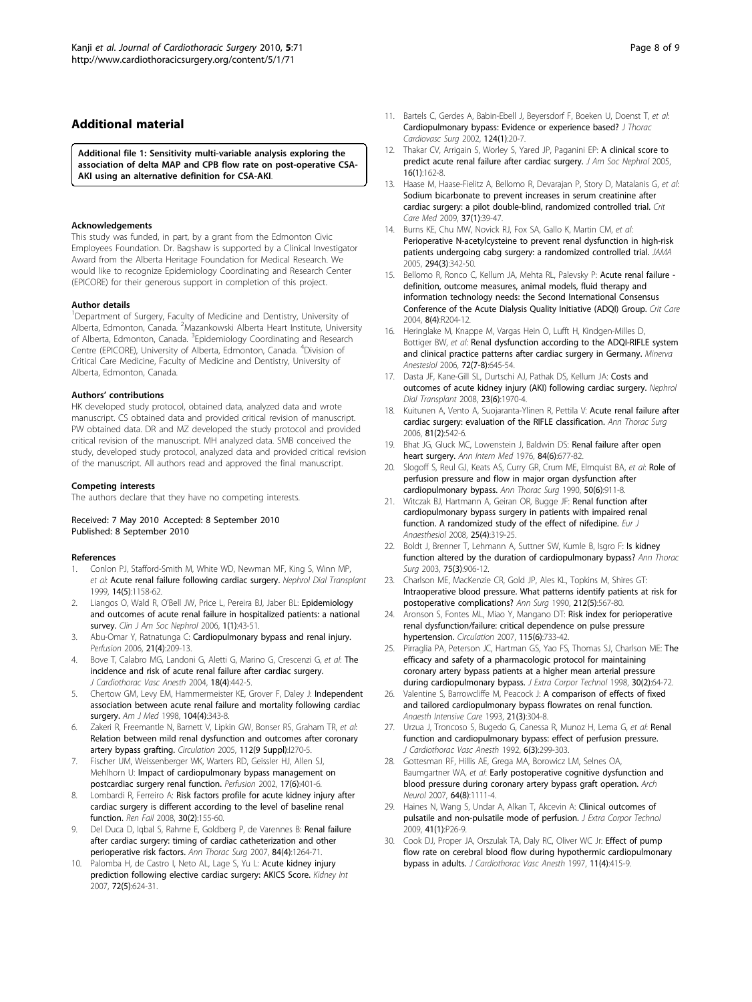# <span id="page-7-0"></span>Additional material

[Additional file 1: S](http://www.biomedcentral.com/content/supplementary/1749-8090-5-71-S1.DOC)ensitivity multi-variable analysis exploring the association of delta MAP and CPB flow rate on post-operative CSA-AKI using an alternative definition for CSA-AKI.

#### Acknowledgements

This study was funded, in part, by a grant from the Edmonton Civic Employees Foundation. Dr. Bagshaw is supported by a Clinical Investigator Award from the Alberta Heritage Foundation for Medical Research. We would like to recognize Epidemiology Coordinating and Research Center (EPICORE) for their generous support in completion of this project.

#### Author details

<sup>1</sup>Department of Surgery, Faculty of Medicine and Dentistry, University of Alberta, Edmonton, Canada. <sup>2</sup>Mazankowski Alberta Heart Institute, University of Alberta, Edmonton, Canada. <sup>3</sup>Epidemiology Coordinating and Research Centre (EPICORE), University of Alberta, Edmonton, Canada. <sup>4</sup>Division of Critical Care Medicine, Faculty of Medicine and Dentistry, University of Alberta, Edmonton, Canada.

#### Authors' contributions

HK developed study protocol, obtained data, analyzed data and wrote manuscript. CS obtained data and provided critical revision of manuscript. PW obtained data. DR and MZ developed the study protocol and provided critical revision of the manuscript. MH analyzed data. SMB conceived the study, developed study protocol, analyzed data and provided critical revision of the manuscript. All authors read and approved the final manuscript.

#### Competing interests

The authors declare that they have no competing interests.

#### Received: 7 May 2010 Accepted: 8 September 2010 Published: 8 September 2010

#### References

- 1. Conlon PJ, Stafford-Smith M, White WD, Newman MF, King S, Winn MP, et al: [Acute renal failure following cardiac surgery.](http://www.ncbi.nlm.nih.gov/pubmed/10344355?dopt=Abstract) Nephrol Dial Transplant 1999, 14(5):1158-62.
- 2. Liangos O, Wald R, O'Bell JW, Price L, Pereira BJ, Jaber BL: [Epidemiology](http://www.ncbi.nlm.nih.gov/pubmed/17699189?dopt=Abstract) [and outcomes of acute renal failure in hospitalized patients: a national](http://www.ncbi.nlm.nih.gov/pubmed/17699189?dopt=Abstract) [survey.](http://www.ncbi.nlm.nih.gov/pubmed/17699189?dopt=Abstract) Clin J Am Soc Nephrol 2006, 1(1):43-51.
- 3. Abu-Omar Y, Ratnatunga C: [Cardiopulmonary bypass and renal injury.](http://www.ncbi.nlm.nih.gov/pubmed/16939114?dopt=Abstract) Perfusion 2006, 21(4):209-13.
- 4. Bove T, Calabro MG, Landoni G, Aletti G, Marino G, Crescenzi G, et al: [The](http://www.ncbi.nlm.nih.gov/pubmed/15365924?dopt=Abstract) [incidence and risk of acute renal failure after cardiac surgery.](http://www.ncbi.nlm.nih.gov/pubmed/15365924?dopt=Abstract) J Cardiothorac Vasc Anesth 2004, 18(4):442-5.
- 5. Chertow GM, Levy EM, Hammermeister KE, Grover F, Daley J: [Independent](http://www.ncbi.nlm.nih.gov/pubmed/9576407?dopt=Abstract) [association between acute renal failure and mortality following cardiac](http://www.ncbi.nlm.nih.gov/pubmed/9576407?dopt=Abstract) [surgery.](http://www.ncbi.nlm.nih.gov/pubmed/9576407?dopt=Abstract) Am J Med 1998, 104(4):343-8.
- 6. Zakeri R, Freemantle N, Barnett V, Lipkin GW, Bonser RS, Graham TR, et al: [Relation between mild renal dysfunction and outcomes after coronary](http://www.ncbi.nlm.nih.gov/pubmed/16159830?dopt=Abstract) [artery bypass grafting.](http://www.ncbi.nlm.nih.gov/pubmed/16159830?dopt=Abstract) Circulation 2005, 112(9 Suppl):1270-5.
- 7. Fischer UM, Weissenberger WK, Warters RD, Geissler HJ, Allen SJ, Mehlhorn U: [Impact of cardiopulmonary bypass management on](http://www.ncbi.nlm.nih.gov/pubmed/12470028?dopt=Abstract) [postcardiac surgery renal function.](http://www.ncbi.nlm.nih.gov/pubmed/12470028?dopt=Abstract) Perfusion 2002, 17(6):401-6.
- Lombardi R, Ferreiro A: [Risk factors profile for acute kidney injury after](http://www.ncbi.nlm.nih.gov/pubmed/18300114?dopt=Abstract) [cardiac surgery is different according to the level of baseline renal](http://www.ncbi.nlm.nih.gov/pubmed/18300114?dopt=Abstract) [function.](http://www.ncbi.nlm.nih.gov/pubmed/18300114?dopt=Abstract) Ren Fail 2008, 30(2):155-60.
- 9. Del Duca D, Iqbal S, Rahme E, Goldberg P, de Varennes B: [Renal failure](http://www.ncbi.nlm.nih.gov/pubmed/17888981?dopt=Abstract) [after cardiac surgery: timing of cardiac catheterization and other](http://www.ncbi.nlm.nih.gov/pubmed/17888981?dopt=Abstract) [perioperative risk factors.](http://www.ncbi.nlm.nih.gov/pubmed/17888981?dopt=Abstract) Ann Thorac Surg 2007, 84(4):1264-71.
- 10. Palomba H, de Castro I, Neto AL, Lage S, Yu L: [Acute kidney injury](http://www.ncbi.nlm.nih.gov/pubmed/17622275?dopt=Abstract) [prediction following elective cardiac surgery: AKICS Score.](http://www.ncbi.nlm.nih.gov/pubmed/17622275?dopt=Abstract) Kidney Int 2007, 72(5):624-31.
- 11. Bartels C, Gerdes A, Babin-Ebell J, Beversdorf F, Boeken U, Doenst T, et al: [Cardiopulmonary bypass: Evidence or experience based?](http://www.ncbi.nlm.nih.gov/pubmed/12091804?dopt=Abstract) J Thorac Cardiovasc Surg 2002, 124(1):20-7.
- 12. Thakar CV, Arrigain S, Worley S, Yared JP, Paganini EP: [A clinical score to](http://www.ncbi.nlm.nih.gov/pubmed/15563569?dopt=Abstract) [predict acute renal failure after cardiac surgery.](http://www.ncbi.nlm.nih.gov/pubmed/15563569?dopt=Abstract) J Am Soc Nephrol 2005, 16(1):162-8.
- 13. Haase M, Haase-Fielitz A, Bellomo R, Devarajan P, Story D, Matalanis G, et al: [Sodium bicarbonate to prevent increases in serum creatinine after](http://www.ncbi.nlm.nih.gov/pubmed/19112278?dopt=Abstract) [cardiac surgery: a pilot double-blind, randomized controlled trial.](http://www.ncbi.nlm.nih.gov/pubmed/19112278?dopt=Abstract) Crit Care Med 2009, 37(1):39-47.
- 14. Burns KE, Chu MW, Novick RJ, Fox SA, Gallo K, Martin CM, et al: [Perioperative N-acetylcysteine to prevent renal dysfunction in high-risk](http://www.ncbi.nlm.nih.gov/pubmed/16030279?dopt=Abstract) [patients undergoing cabg surgery: a randomized controlled trial.](http://www.ncbi.nlm.nih.gov/pubmed/16030279?dopt=Abstract) JAMA 2005, 294(3):342-50.
- 15. Bellomo R, Ronco C, Kellum JA, Mehta RL, Palevsky P: [Acute renal failure](http://www.ncbi.nlm.nih.gov/pubmed/15312219?dopt=Abstract)  [definition, outcome measures, animal models, fluid therapy and](http://www.ncbi.nlm.nih.gov/pubmed/15312219?dopt=Abstract) [information technology needs: the Second International Consensus](http://www.ncbi.nlm.nih.gov/pubmed/15312219?dopt=Abstract) [Conference of the Acute Dialysis Quality Initiative \(ADQI\) Group.](http://www.ncbi.nlm.nih.gov/pubmed/15312219?dopt=Abstract) Crit Care 2004, 8(4):R204-12.
- 16. Heringlake M, Knappe M, Vargas Hein O, Lufft H, Kindgen-Milles D, Bottiger BW, et al: [Renal dysfunction according to the ADQI-RIFLE system](http://www.ncbi.nlm.nih.gov/pubmed/16865083?dopt=Abstract) [and clinical practice patterns after cardiac surgery in Germany.](http://www.ncbi.nlm.nih.gov/pubmed/16865083?dopt=Abstract) Minerva Anestesiol 2006, 72(7-8):645-54.
- 17. Dasta JF, Kane-Gill SL, Durtschi AJ, Pathak DS, Kellum JA: [Costs and](http://www.ncbi.nlm.nih.gov/pubmed/18178605?dopt=Abstract) [outcomes of acute kidney injury \(AKI\) following cardiac surgery.](http://www.ncbi.nlm.nih.gov/pubmed/18178605?dopt=Abstract) Nephrol Dial Transplant 2008, 23(6):1970-4.
- 18. Kuitunen A, Vento A, Suojaranta-Ylinen R, Pettila V: [Acute renal failure after](http://www.ncbi.nlm.nih.gov/pubmed/16427848?dopt=Abstract) [cardiac surgery: evaluation of the RIFLE classification.](http://www.ncbi.nlm.nih.gov/pubmed/16427848?dopt=Abstract) Ann Thorac Surg 2006, 81(2):542-6.
- 19. Bhat JG, Gluck MC, Lowenstein J, Baldwin DS: [Renal failure after open](http://www.ncbi.nlm.nih.gov/pubmed/937879?dopt=Abstract) [heart surgery.](http://www.ncbi.nlm.nih.gov/pubmed/937879?dopt=Abstract) Ann Intern Med 1976, 84(6):677-82.
- 20. Slogoff S, Reul GJ, Keats AS, Curry GR, Crum ME, Elmquist BA, et al: [Role of](http://www.ncbi.nlm.nih.gov/pubmed/2241382?dopt=Abstract) [perfusion pressure and flow in major organ dysfunction after](http://www.ncbi.nlm.nih.gov/pubmed/2241382?dopt=Abstract) [cardiopulmonary bypass.](http://www.ncbi.nlm.nih.gov/pubmed/2241382?dopt=Abstract) Ann Thorac Surg 1990, 50(6):911-8.
- 21. Witczak BJ, Hartmann A, Geiran OR, Bugge JF: [Renal function after](http://www.ncbi.nlm.nih.gov/pubmed/18182121?dopt=Abstract) [cardiopulmonary bypass surgery in patients with impaired renal](http://www.ncbi.nlm.nih.gov/pubmed/18182121?dopt=Abstract) [function. A randomized study of the effect of nifedipine.](http://www.ncbi.nlm.nih.gov/pubmed/18182121?dopt=Abstract) Eur J Anaesthesiol 2008, 25(4):319-25.
- 22. Boldt J, Brenner T, Lehmann A, Suttner SW, Kumle B, Isgro F: [Is kidney](http://www.ncbi.nlm.nih.gov/pubmed/12645715?dopt=Abstract) [function altered by the duration of cardiopulmonary bypass?](http://www.ncbi.nlm.nih.gov/pubmed/12645715?dopt=Abstract) Ann Thorac Sura 2003, **75(3)**:906-12.
- 23. Charlson ME, MacKenzie CR, Gold JP, Ales KL, Topkins M, Shires GT: [Intraoperative blood pressure. What patterns identify patients at risk for](http://www.ncbi.nlm.nih.gov/pubmed/2241312?dopt=Abstract) [postoperative complications?](http://www.ncbi.nlm.nih.gov/pubmed/2241312?dopt=Abstract) Ann Surg 1990, 212(5):567-80.
- 24. Aronson S, Fontes ML, Miao Y, Mangano DT: [Risk index for perioperative](http://www.ncbi.nlm.nih.gov/pubmed/17283267?dopt=Abstract) [renal dysfunction/failure: critical dependence on pulse pressure](http://www.ncbi.nlm.nih.gov/pubmed/17283267?dopt=Abstract) [hypertension.](http://www.ncbi.nlm.nih.gov/pubmed/17283267?dopt=Abstract) Circulation 2007, 115(6):733-42.
- 25. Pirraglia PA, Peterson JC, Hartman GS, Yao FS, Thomas SJ, Charlson ME: [The](http://www.ncbi.nlm.nih.gov/pubmed/10182115?dopt=Abstract) [efficacy and safety of a pharmacologic protocol for maintaining](http://www.ncbi.nlm.nih.gov/pubmed/10182115?dopt=Abstract) [coronary artery bypass patients at a higher mean arterial pressure](http://www.ncbi.nlm.nih.gov/pubmed/10182115?dopt=Abstract) [during cardiopulmonary bypass.](http://www.ncbi.nlm.nih.gov/pubmed/10182115?dopt=Abstract) J Extra Corpor Technol 1998, 30(2):64-72.
- 26. Valentine S, Barrowcliffe M, Peacock J: [A comparison of effects of fixed](http://www.ncbi.nlm.nih.gov/pubmed/8342759?dopt=Abstract) [and tailored cardiopulmonary bypass flowrates on renal function.](http://www.ncbi.nlm.nih.gov/pubmed/8342759?dopt=Abstract) Anaesth Intensive Care 1993, 21(3):304-8.
- 27. Urzua J, Troncoso S, Bugedo G, Canessa R, Munoz H, Lema G, et al: [Renal](http://www.ncbi.nlm.nih.gov/pubmed/1610995?dopt=Abstract) [function and cardiopulmonary bypass: effect of perfusion pressure.](http://www.ncbi.nlm.nih.gov/pubmed/1610995?dopt=Abstract) J Cardiothorac Vasc Anesth 1992, 6(3):299-303.
- 28. Gottesman RF, Hillis AE, Grega MA, Borowicz LM, Selnes OA, Baumgartner WA, et al: [Early postoperative cognitive dysfunction and](http://www.ncbi.nlm.nih.gov/pubmed/17562924?dopt=Abstract) [blood pressure during coronary artery bypass graft operation.](http://www.ncbi.nlm.nih.gov/pubmed/17562924?dopt=Abstract) Arch Neurol 2007, 64(8):1111-4.
- 29. Haines N, Wang S, Undar A, Alkan T, Akcevin A: [Clinical outcomes of](http://www.ncbi.nlm.nih.gov/pubmed/19361037?dopt=Abstract) [pulsatile and non-pulsatile mode of perfusion.](http://www.ncbi.nlm.nih.gov/pubmed/19361037?dopt=Abstract) J Extra Corpor Technol 2009, 41(1):P26-9.
- 30. Cook DJ, Proper JA, Orszulak TA, Daly RC, Oliver WC Jr: [Effect of pump](http://www.ncbi.nlm.nih.gov/pubmed/9187987?dopt=Abstract) [flow rate on cerebral blood flow during hypothermic cardiopulmonary](http://www.ncbi.nlm.nih.gov/pubmed/9187987?dopt=Abstract) [bypass in adults.](http://www.ncbi.nlm.nih.gov/pubmed/9187987?dopt=Abstract) J Cardiothorac Vasc Anesth 1997, 11(4):415-9.